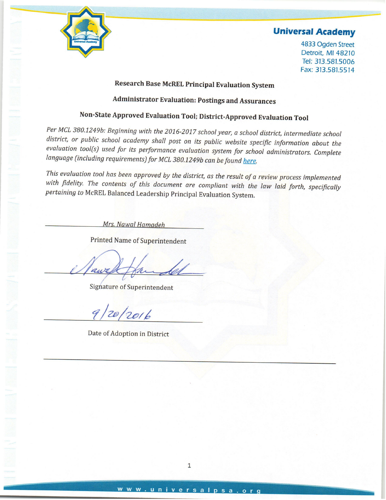

4833 Ogden Street Detroit, MI 48210 Tel: 313.581.5006 Fax: 313.581.5514

### **Research Base McREL Principal Evaluation System**

# **Administrator Evaluation: Postings and Assurances**

# Non-State Approved Evaluation Tool; District-Approved Evaluation Tool

Per MCL 380.1249b: Beginning with the 2016-2017 school year, a school district, intermediate school district, or public school academy shall post on its public website specific information about the evaluation tool(s) used for its performance evaluation system for school administrators. Complete language (including requirements) for MCL 380.1249b can be found here.

This evaluation tool has been approved by the district, as the result of a review process implemented with fidelity. The contents of this document are compliant with the law laid forth, specifically pertaining to McREL Balanced Leadership Principal Evaluation System.

Mrs. Nawal Hamadeh

**Printed Name of Superintendent** 

A

**Signature of Superintendent** 

20/2016  $91$ 

Date of Adoption in District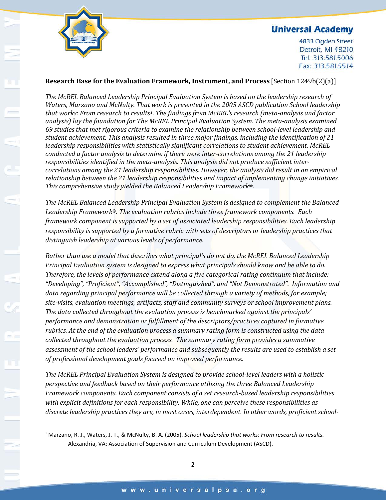

 $\overline{\phantom{a}}$ 

### **Universal Academy**

4833 Ogden Street Detroit, MI 48210 Tel: 313.581.5006 Fax: 313.581.5514

#### **Research Base for the Evaluation Framework, Instrument, and Process** [Section 1249b(2)(a)]

*The McREL Balanced Leadership Principal Evaluation System is based on the leadership research of Waters, Marzano and McNulty. That work is presented in the 2005 ASCD publication School leadership that works: From research to results[1](#page-1-0). The findings from McREL's research (meta-analysis and factor analysis) lay the foundation for The McREL Principal Evaluation System. The meta-analysis examined 69 studies that met rigorous criteria to examine the relationship between school-level leadership and student achievement. This analysis resulted in three major findings, including the identification of 21 leadership responsibilities with statistically significant correlations to student achievement. McREL conducted a factor analysis to determine if there were inter-correlations among the 21 leadership responsibilities identified in the meta-analysis. This analysis did not produce sufficient intercorrelations among the 21 leadership responsibilities. However, the analysis did result in an empirical relationship between the 21 leadership responsibilities and impact of implementing change initiatives. This comprehensive study yielded the Balanced Leadership Framework®.*

*The McREL Balanced Leadership Principal Evaluation System is designed to complement the Balanced Leadership Framework®. The evaluation rubrics include three framework components. Each framework component is supported by a set of associated leadership responsibilities. Each leadership responsibility is supported by a formative rubric with sets of descriptors or leadership practices that distinguish leadership at various levels of performance.* 

*Rather than use a model that describes what principal's do not do, the McREL Balanced Leadership Principal Evaluation system is designed to express what principals should know and be able to do. Therefore, the levels of performance extend along a five categorical rating continuum that include: "Developing", "Proficient", "Accomplished", "Distinguished", and "Not Demonstrated". Information and data regarding principal performance will be collected through a variety of methods, for example; site-visits, evaluation meetings, artifacts, staff and community surveys or school improvement plans. The data collected throughout the evaluation process is benchmarked against the principals' performance and demonstration or fulfillment of the descriptors/practices captured in formative rubrics. At the end of the evaluation process a summary rating form is constructed using the data collected throughout the evaluation process. The summary rating form provides a summative assessment of the school leaders' performance and subsequently the results are used to establish a set of professional development goals focused on improved performance.*

*The McREL Principal Evaluation System is designed to provide school-level leaders with a holistic perspective and feedback based on their performance utilizing the three Balanced Leadership Framework components. Each component consists of a set research-based leadership responsibilities with explicit definitions for each responsibility. While, one can perceive these responsibilities as discrete leadership practices they are, in most cases, interdependent. In other words, proficient school-*

<span id="page-1-0"></span><sup>1</sup> Marzano, R. J., Waters, J. T., & McNulty, B. A. (2005). *School leadership that works: From research to results.*  Alexandria, VA: Association of Supervision and Curriculum Development (ASCD).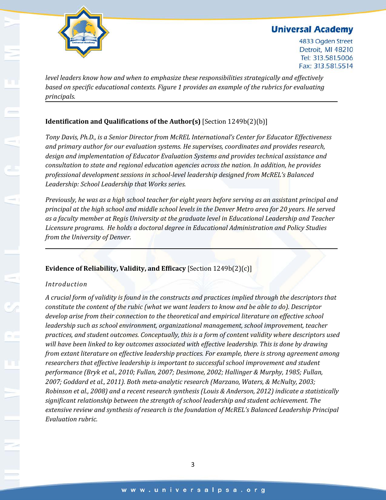

4833 Ogden Street Detroit, MI 48210 Tel: 313.581.5006 Fax: 313.581.5514

*level leaders know how and when to emphasize these responsibilities strategically and effectively based on specific educational contexts. Figure 1 provides an example of the rubrics for evaluating principals.*

### **Identification and Qualifications of the Author(s)** [Section 1249b(2)(b)]

*Tony Davis, Ph.D., is a Senior Director from McREL International's Center for Educator Effectiveness and primary author for our evaluation systems. He supervises, coordinates and provides research, design and implementation of Educator Evaluation Systems and provides technical assistance and consultation to state and regional education agencies across the nation. In addition, he provides professional development sessions in school-level leadership designed from McREL's Balanced Leadership: School Leadership that Works series.*

*Previously, he was as a high school teacher for eight years before serving as an assistant principal and principal at the high school and middle school levels in the Denver Metro area for 20 years. He served as a faculty member at Regis University at the graduate level in Educational Leadership and Teacher Licensure programs. He holds a doctoral degree in Educational Administration and Policy Studies from the University of Denver.*

#### **Evidence of Reliability, Validity, and Efficacy** [Section 1249b(2)(c)]

#### *Introduction*

*A crucial form of validity is found in the constructs and practices implied through the descriptors that constitute the content of the rubic (what we want leaders to know and be able to do). Descriptor develop arise from their connection to the theoretical and empirical literature on effective school leadership such as school environment, organizational management, school improvement, teacher practices, and student outcomes. Conceptually, this is a form of content validity where descriptors used will have been linked to key outcomes associated with effective leadership. This is done by drawing from extant literature on effective leadership practices. For example, there is strong agreement among researchers that effective leadership is important to successful school improvement and student performance (Bryk et al., 2010; Fullan, 2007; Desimone, 2002; Hallinger & Murphy, 1985; Fullan, 2007; Goddard et al., 2011). Both meta-analytic research (Marzano, Waters, & McNulty, 2003; Robinson et al., 2008) and a recent research synthesis (Louis & Anderson, 2012) indicate a statistically significant relationship between the strength of school leadership and student achievement. The extensive review and synthesis of research is the foundation of McREL's Balanced Leadership Principal Evaluation rubric.*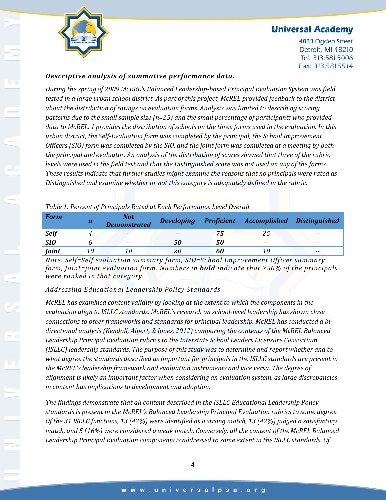

4833 Ogden Street Detroit, MI 48210 Tel: 313.581.5006 Fax: 313.581.5514

#### *Descriptive analysis of summative performance data.*

*During the spring of 2009 McREL's Balanced Leadership-based Principal Evaluation System was field tested in a large urban school district. As part of this project, McREL provided feedback to the district about the distribution of ratings on evaluation forms. Analysis was limited to describing scoring patterns due to the small sample size (n=25) and the small percentage of participants who provided data to McREL. 1 provides the distribution of schools on the three forms used in the evaluation. In this urban district, the Self-Evaluation form was completed by the principal, the School Improvement Officers (SIO) form was completed by the SIO, and the joint form was completed at a meeting by both the principal and evaluator. An analysis of the distribution of scores showed that three of the rubric levels were used in the field test and that the Distinguished score was not used an any of the forms. These results indicate that further studies might examine the reasons that no principals were rated as Distinguished and examine whether or not this category is adequately defined in the rubric.*

| Table 1: Percent of Principals Rated at Each Performance Level Overall |  |  |
|------------------------------------------------------------------------|--|--|
|                                                                        |  |  |

| <b>Form</b> | $\mathbf n$ | <b>Not</b><br><b>Demonstrated</b> | <b>Developing</b> |    | <b>Proficient Accomplished Distinguished</b> |       |
|-------------|-------------|-----------------------------------|-------------------|----|----------------------------------------------|-------|
| <b>Self</b> |             | $- -$                             | $- -$             |    |                                              | $- -$ |
| <b>SIO</b>  |             | $-$                               | 50                |    | $- -$                                        | $- -$ |
| Joint       | 10          |                                   |                   | 60 |                                              | $- -$ |

*Note. Self=Self evaluation summary form, SIO=School Improvement Officer summary form, Joint=joint evaluation form. Numbers in bold indicate that ≥50% of the principals were ranked in that category.*

#### *Addressing Educational Leadership Policy Standards*

*McREL has examined content validity by looking at the extent to which the components in the evaluation align to ISLLC standards. McREL's research on school-level leadership has shown close connections to other frameworks and standards for principal leadership. McREL has conducted a bidirectional analysis (Kendall, Alpert, & Jones, 2012) comparing the contents of the McREL Balanced Leadership Principal Evaluation rubrics to the Interstate School Leaders Licensure Consortium (ISLLC) leadership standards. The purpose of this study was to determine and report whether and to what degree the standards described as important for principals in the ISLLC standards are present in the McREL's leadership framework and evaluation instruments and vice versa. The degree of alignment is likely an important factor when considering an evaluation system, as large discrepancies in content has implications to development and adoption.*

*The findings demonstrate that all content described in the ISLLC Educational Leadership Policy standards is present in the McREL's Balanced Leadership Principal Evaluation rubrics to some degree. Of the 31 ISLLC functions, 13 (42%) were identified as a strong match, 13 (42%) judged a satisfactory match, and 5 (16%) were considered a weak match. Conversely, all the content of the McREL Balanced Leadership Principal Evaluation components is addressed to some extent in the ISLLC standards. Of*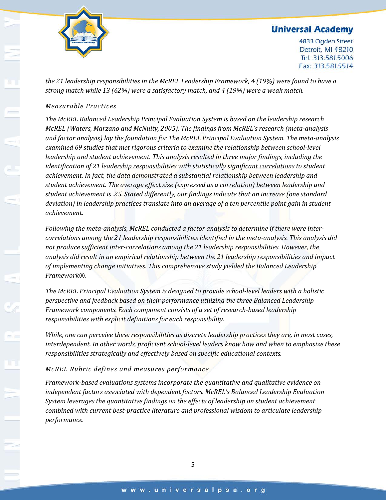

4833 Ogden Street Detroit, MI 48210 Tel: 313.581.5006 Fax: 313.581.5514

*the 21 leadership responsibilities in the McREL Leadership Framework, 4 (19%) were found to have a strong match while 13 (62%) were a satisfactory match, and 4 (19%) were a weak match.*

#### *Measurable Practices*

*The McREL Balanced Leadership Principal Evaluation System is based on the leadership research McREL (Waters, Marzano and McNulty, 2005). The findings from McREL's research (meta-analysis and factor analysis) lay the foundation for The McREL Principal Evaluation System. The meta-analysis examined 69 studies that met rigorous criteria to examine the relationship between school-level leadership and student achievement. This analysis resulted in three major findings, including the identification of 21 leadership responsibilities with statistically significant correlations to student achievement. In fact, the data demonstrated a substantial relationship between leadership and student achievement. The average effect size (expressed as a correlation) between leadership and student achievement is .25. Stated differently, our findings indicate that an increase (one standard deviation) in leadership practices translate into an average of a ten percentile point gain in student achievement.*

*Following the meta-analysis, McREL conducted a factor analysis to determine if there were intercorrelations among the 21 leadership responsibilities identified in the meta-analysis. This analysis did not produce sufficient inter-correlations among the 21 leadership responsibilities. However, the analysis did result in an empirical relationship between the 21 leadership responsibilities and impact of implementing change initiatives. This comprehensive study yielded the Balanced Leadership Framework®.*

*The McREL Principal Evaluation System is designed to provide school-level leaders with a holistic perspective and feedback based on their performance utilizing the three Balanced Leadership Framework components. Each component consists of a set of research-based leadership responsibilities with explicit definitions for each responsibility.* 

*While, one can perceive these responsibilities as discrete leadership practices they are, in most cases, interdependent. In other words, proficient school-level leaders know how and when to emphasize these responsibilities strategically and effectively based on specific educational contexts.* 

#### *McREL Rubric defines and measures performance*

*Framework-based evaluations systems incorporate the quantitative and qualitative evidence on independent factors associated with dependent factors. McREL's Balanced Leadership Evaluation System leverages the quantitative findings on the effects of leadership on student achievement combined with current best-practice literature and professional wisdom to articulate leadership performance.*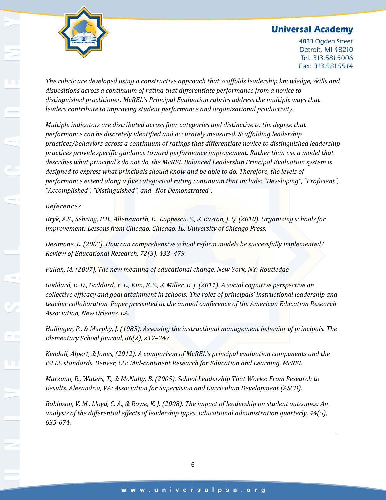

4833 Ogden Street Detroit, MI 48210 Tel: 313.581.5006 Fax: 313.581.5514

*The rubric are developed using a constructive approach that scaffolds leadership knowledge, skills and dispositions across a continuum of rating that differentiate performance from a novice to distinguished practitioner. McREL's Principal Evaluation rubrics address the multiple ways that leaders contribute to improving student performance and organizational productivity.*

*Multiple indicators are distributed across four categories and distinctive to the degree that performance can be discretely identified and accurately measured. Scaffolding leadership practices/behaviors across a continuum of ratings that differentiate novice to distinguished leadership practices provide specific guidance toward performance improvement. Rather than use a model that describes what principal's do not do, the McREL Balanced Leadership Principal Evaluation system is designed to express what principals should know and be able to do. Therefore, the levels of performance extend along a five categorical rating continuum that include: "Developing", "Proficient", "Accomplished", "Distinguished", and "Not Demonstrated".*

#### *References*

*Bryk, A.S., Sebring, P.B., Allensworth, E., Luppescu, S., & Easton, J. Q. (2010). Organizing schools for improvement: Lessons from Chicago. Chicago, IL: University of Chicago Press.*

*Desimone, L. (2002). How can comprehensive school reform models be successfully implemented? Review of Educational Research, 72(3), 433–479.*

*Fullan, M. (2007). The new meaning of educational change. New York, NY: Routledge.*

*Goddard, R. D., Goddard, Y. L., Kim, E. S., & Miller, R. J. (2011). A social cognitive perspective on collective efficacy and goal attainment in schools: The roles of principals' instructional leadership and teacher collaboration. Paper presented at the annual conference of the American Education Research Association, New Orleans, LA.*

*Hallinger, P., & Murphy, J. (1985). Assessing the instructional management behavior of principals. The Elementary School Journal, 86(2), 217–247.*

*Kendall, Alpert, & Jones, (2012). A comparison of McREL's principal evaluation components and the ISLLC standards. Denver, CO: Mid-continent Research for Education and Learning. McREL*

*Marzano, R., Waters, T., & McNulty, B. (2005). School Leadership That Works: From Research to Results. Alexandria, VA: Association for Supervision and Curriculum Development (ASCD).*

*Robinson, V. M., Lloyd, C. A., & Rowe, K. J. (2008). The impact of leadership on student outcomes: An analysis of the differential effects of leadership types. Educational administration quarterly, 44(5), 635-674.*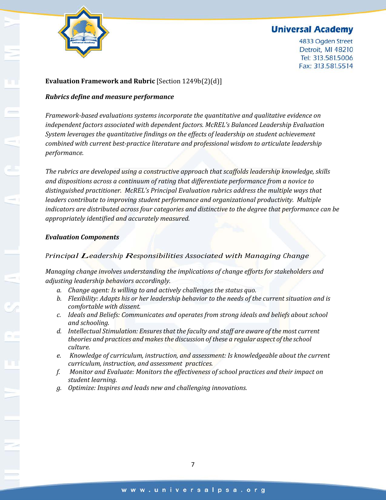

4833 Ogden Street Detroit, MI 48210 Tel: 313.581.5006 Fax: 313.581.5514

#### **Evaluation Framework and Rubric** [Section 1249b(2)(d)]

#### *Rubrics define and measure performance*

*Framework-based evaluations systems incorporate the quantitative and qualitative evidence on independent factors associated with dependent factors. McREL's Balanced Leadership Evaluation System leverages the quantitative findings on the effects of leadership on student achievement combined with current best-practice literature and professional wisdom to articulate leadership performance.* 

*The rubrics are developed using a constructive approach that scaffolds leadership knowledge, skills and dispositions across a continuum of rating that differentiate performance from a novice to distinguished practitioner. McREL's Principal Evaluation rubrics address the multiple ways that leaders contribute to improving student performance and organizational productivity. Multiple indicators are distributed across four categories and distinctive to the degree that performance can be appropriately identified and accurately measured.* 

#### *Evaluation Components*

#### *Principal Leadership Responsibilities Associated with Managing Change*

*Managing change involves understanding the implications of change efforts for stakeholders and adjusting leadership behaviors accordingly.*

- *a. Change agent: Is willing to and actively challenges the status quo.*
- *b. Flexibility: Adapts his or her leadership behavior to the needs of the current situation and is comfortable with dissent.*
- *c. Ideals and Beliefs: Communicates and operates from strong ideals and beliefs about school and schooling.*
- *d. Intellectual Stimulation: Ensuresthat the faculty and staff are aware of the most current theories and practices and makesthe discussion of these a regular aspect ofthe school culture.*
- *e. Knowledge of curriculum, instruction, and assessment: Is knowledgeable about the current curriculum, instruction, and assessment practices.*
- *f. Monitor and Evaluate: Monitors the effectiveness of school practices and their impact on student learning.*
- *g. Optimize: Inspires and leads new and challenging innovations.*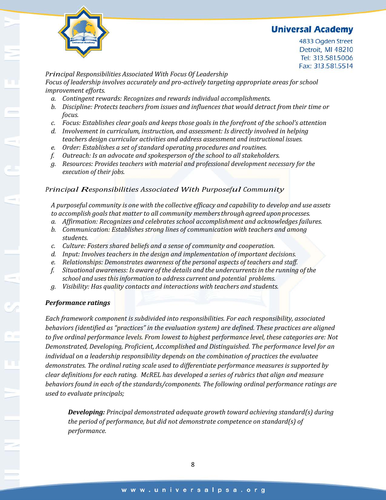

4833 Ogden Street Detroit, MI 48210 Tel: 313.581.5006 Fax: 313.581.5514

#### *Principal Responsibilities Associated With Focus Of Leadership*

*Focus of leadership involves accurately and pro-actively targeting appropriate areas for school improvement efforts.*

- *a. Contingent rewards: Recognizes and rewards individual accomplishments.*
- *b. Discipline: Protects teachers from issues and influences that would detract from their time or focus.*
- *c. Focus: Establishes clear goals and keeps those goals in the forefront of the school's attention*
- *d. Involvement in curriculum, instruction, and assessment: Is directly involved in helping teachers design curricular activities and address assessment and instructional issues.*
- *e. Order: Establishes a set of standard operating procedures and routines.*
- *f. Outreach: Is an advocate and spokesperson of the school to all stakeholders.*
- *g. Resources: Provides teachers with material and professional development necessary for the execution of their jobs.*

#### *Principal Responsibilities Associated With Purposeful Community*

*A purposeful community is one with the collective efficacy and capability to develop and use assets to accomplish goals that matter to all community membersthroughagreeduponprocesses.*

- *a. Affirmation: Recognizes and celebrates school accomplishment and acknowledges failures.*
- *b. Communication: Establishes strong lines of communication with teachers and among students.*
- *c. Culture: Fosters shared beliefs and a sense of community and cooperation.*
- *d. Input: Involves teachers in the design and implementation of important decisions.*
- *e. Relationships: Demonstrates awareness of the personal aspects of teachers and staff.*
- *f. Situational awareness: Is aware of the details and the undercurrentsin the running of the school and usesthisinformation to address current and potential problems.*
- *g. Visibility: Has quality contacts and interactions with teachers and students.*

#### *Performance ratings*

*Each framework component is subdivided into responsibilities. For each responsibility, associated behaviors (identified as "practices" in the evaluation system) are defined. These practices are aligned to five ordinal performance levels. From lowest to highest performance level, these categories are: Not Demonstrated, Developing, Proficient, Accomplished and Distinguished. The performance level for an individual on a leadership responsibility depends on the combination of practices the evaluatee demonstrates. The ordinal rating scale used to differentiate performance measures is supported by clear definitions for each rating. McREL has developed a series of rubrics that align and measure behaviors found in each of the standards/components. The following ordinal performance ratings are used to evaluate principals;*

*Developing: Principal demonstrated adequate growth toward achieving standard(s) during the period of performance, but did not demonstrate competence on standard(s) of performance.*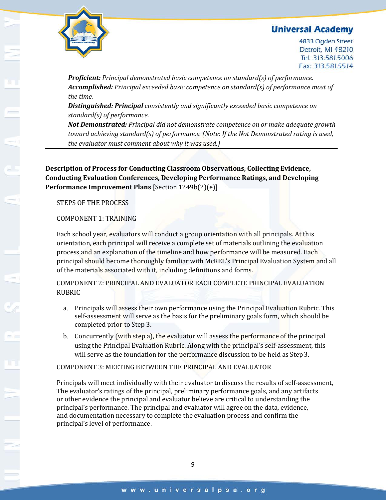

4833 Ogden Street Detroit, MI 48210 Tel: 313.581.5006 Fax: 313.581.5514

*Proficient: Principal demonstrated basic competence on standard(s) of performance. Accomplished: Principal exceeded basic competence on standard(s) of performance most of the time.*

*Distinguished: Principal consistently and significantly exceeded basic competence on standard(s) of performance.*

*Not Demonstrated: Principal did not demonstrate competence on or make adequate growth toward achieving standard(s) of performance. (Note: If the Not Demonstrated rating is used, the evaluator must comment about why it was used.)*

**Description of Process for Conducting Classroom Observations, Collecting Evidence, Conducting Evaluation Conferences, Developing Performance Ratings, and Developing Performance Improvement Plans** [Section 1249b(2)(e)]

STEPS OF THE PROCESS

#### COMPONENT 1: TRAINING

Each school year, evaluators will conduct a group orientation with all principals. At this orientation, each principal will receive a complete set of materials outlining the evaluation process and an explanation of the timeline and how performance will be measured. Each principal should become thoroughly familiar with McREL's Principal Evaluation System and all of the materials associated with it, including definitions and forms.

COMPONENT 2: PRINCIPAL AND EVALUATOR EACH COMPLETE PRINCIPAL EVALUATION RUBRIC

- a. Principals will assess their own performance using the Principal Evaluation Rubric. This self-assessment will serve as the basis for the preliminary goals form, which should be completed prior to Step 3.
- b. Concurrently (with step a), the evaluator will assess the performance of the principal using the Principal Evaluation Rubric. Along with the principal's self-assessment, this will serve as the foundation for the performance discussion to be held as Step 3.

COMPONENT 3: MEETING BETWEEN THE PRINCIPAL AND EVALUATOR

Principals will meet individually with their evaluator to discuss the results of self-assessment, The evaluator's ratings of the principal, preliminary performance goals, and any artifacts or other evidence the principal and evaluator believe are critical to understanding the principal's performance. The principal and evaluator will agree on the data, evidence, and documentation necessary to complete the evaluation process and confirm the principal's level of performance.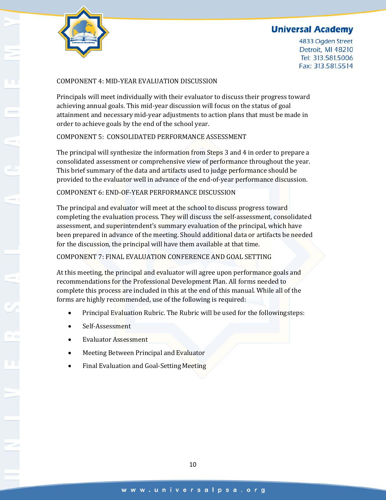

4833 Ogden Street Detroit, MI 48210 Tel: 313.581.5006 Fax: 313.581.5514

#### COMPONENT 4: MID-YEAR EVALUATION DISCUSSION

Principals will meet individually with their evaluator to discuss their progress toward achieving annual goals. This mid-year discussion will focus on the status of goal attainment and necessary mid-year adjustments to action plans that must be made in order to achieve goals by the end of the school year.

#### COMPONENT 5: CONSOLIDATED PERFORMANCE ASSESSMENT

The principal will synthesize the information from Steps 3 and 4 in order to prepare a consolidated assessment or comprehensive view of performance throughout the year. This brief summary of the data and artifacts used to judge performance should be provided to the evaluator well in advance of the end-of-year performance discussion.

#### COMPONENT 6: END-OF-YEAR PERFORMANCE DISCUSSION

The principal and evaluator will meet at the school to discuss progress toward completing the evaluation process. They will discuss the self-assessment, consolidated assessment, and superintendent's summary evaluation of the principal, which have been prepared in advance of the meeting. Should additional data or artifacts be needed for the discussion, the principal will have them available at that time.

#### COMPONENT 7: FINAL EVALUATION CONFERENCE AND GOAL SETTING

At this meeting, the principal and evaluator will agree upon performance goals and recommendations for the Professional Development Plan. All forms needed to complete this process are included in this at the end of this manual. While all of the forms are highly recommended, use of the following is required:

- Principal Evaluation Rubric. The Rubric will be used for the followingsteps:
- Self-Assessment
- Evaluator Assessment
- Meeting Between Principal and Evaluator
- Final Evaluation and Goal-Setting Meeting